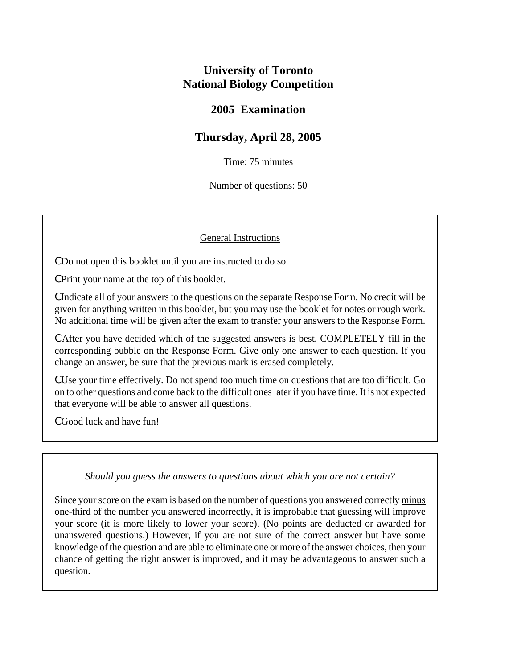# **University of Toronto National Biology Competition**

## **2005 Examination**

## **Thursday, April 28, 2005**

Time: 75 minutes

Number of questions: 50

### General Instructions

C Do not open this booklet until you are instructed to do so.

C Print your name at the top of this booklet.

C Indicate all of your answers to the questions on the separate Response Form. No credit will be given for anything written in this booklet, but you may use the booklet for notes or rough work. No additional time will be given after the exam to transfer your answers to the Response Form.

C After you have decided which of the suggested answers is best, COMPLETELY fill in the corresponding bubble on the Response Form. Give only one answer to each question. If you change an answer, be sure that the previous mark is erased completely.

C Use your time effectively. Do not spend too much time on questions that are too difficult. Go on to other questions and come back to the difficult ones later if you have time. It is not expected that everyone will be able to answer all questions.

C Good luck and have fun!

### *Should you guess the answers to questions about which you are not certain?*

Since your score on the exam is based on the number of questions you answered correctly minus one-third of the number you answered incorrectly, it is improbable that guessing will improve your score (it is more likely to lower your score). (No points are deducted or awarded for unanswered questions.) However, if you are not sure of the correct answer but have some knowledge of the question and are able to eliminate one or more of the answer choices, then your chance of getting the right answer is improved, and it may be advantageous to answer such a question.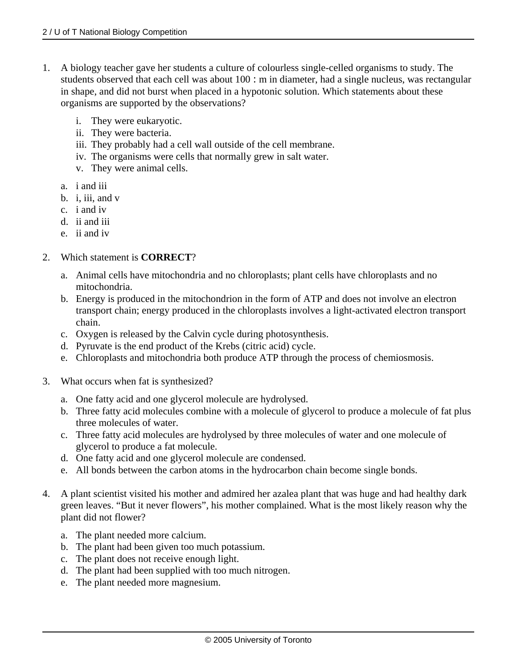- 1. A biology teacher gave her students a culture of colourless single-celled organisms to study. The students observed that each cell was about 100 : m in diameter, had a single nucleus, was rectangular in shape, and did not burst when placed in a hypotonic solution. Which statements about these organisms are supported by the observations?
	- i. They were eukaryotic.
	- ii. They were bacteria.
	- iii. They probably had a cell wall outside of the cell membrane.
	- iv. The organisms were cells that normally grew in salt water.
	- v. They were animal cells.
	- a. i and iii
	- b. i. iii. and  $v$
	- c. i and iv
	- d. ii and iii
	- e. ii and iv
- 2. Which statement is **CORRECT**?
	- a. Animal cells have mitochondria and no chloroplasts; plant cells have chloroplasts and no mitochondria.
	- b. Energy is produced in the mitochondrion in the form of ATP and does not involve an electron transport chain; energy produced in the chloroplasts involves a light-activated electron transport chain.
	- c. Oxygen is released by the Calvin cycle during photosynthesis.
	- d. Pyruvate is the end product of the Krebs (citric acid) cycle.
	- e. Chloroplasts and mitochondria both produce ATP through the process of chemiosmosis.
- 3. What occurs when fat is synthesized?
	- a. One fatty acid and one glycerol molecule are hydrolysed.
	- b. Three fatty acid molecules combine with a molecule of glycerol to produce a molecule of fat plus three molecules of water.
	- c. Three fatty acid molecules are hydrolysed by three molecules of water and one molecule of glycerol to produce a fat molecule.
	- d. One fatty acid and one glycerol molecule are condensed.
	- e. All bonds between the carbon atoms in the hydrocarbon chain become single bonds.
- 4. A plant scientist visited his mother and admired her azalea plant that was huge and had healthy dark green leaves. "But it never flowers", his mother complained. What is the most likely reason why the plant did not flower?
	- a. The plant needed more calcium.
	- b. The plant had been given too much potassium.
	- c. The plant does not receive enough light.
	- d. The plant had been supplied with too much nitrogen.
	- e. The plant needed more magnesium.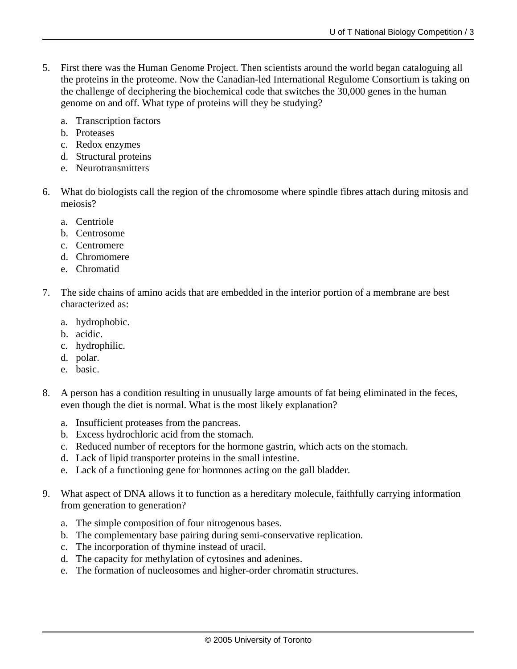- 5. First there was the Human Genome Project. Then scientists around the world began cataloguing all the proteins in the proteome. Now the Canadian-led International Regulome Consortium is taking on the challenge of deciphering the biochemical code that switches the 30,000 genes in the human genome on and off. What type of proteins will they be studying?
	- a. Transcription factors
	- b. Proteases
	- c. Redox enzymes
	- d. Structural proteins
	- e. Neurotransmitters
- 6. What do biologists call the region of the chromosome where spindle fibres attach during mitosis and meiosis?
	- a. Centriole
	- b. Centrosome
	- c. Centromere
	- d. Chromomere
	- e. Chromatid
- 7. The side chains of amino acids that are embedded in the interior portion of a membrane are best characterized as:
	- a. hydrophobic.
	- b. acidic.
	- c. hydrophilic.
	- d. polar.
	- e. basic.
- 8. A person has a condition resulting in unusually large amounts of fat being eliminated in the feces, even though the diet is normal. What is the most likely explanation?
	- a. Insufficient proteases from the pancreas.
	- b. Excess hydrochloric acid from the stomach.
	- c. Reduced number of receptors for the hormone gastrin, which acts on the stomach.
	- d. Lack of lipid transporter proteins in the small intestine.
	- e. Lack of a functioning gene for hormones acting on the gall bladder.
- 9. What aspect of DNA allows it to function as a hereditary molecule, faithfully carrying information from generation to generation?
	- a. The simple composition of four nitrogenous bases.
	- b. The complementary base pairing during semi-conservative replication.
	- c. The incorporation of thymine instead of uracil.
	- d. The capacity for methylation of cytosines and adenines.
	- e. The formation of nucleosomes and higher-order chromatin structures.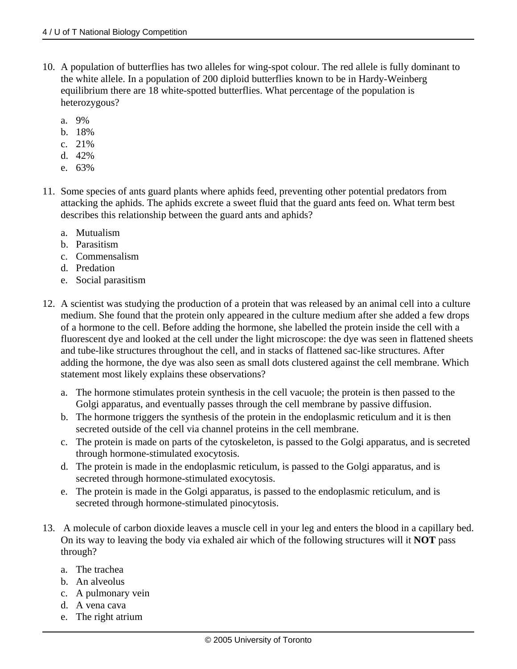- 10. A population of butterflies has two alleles for wing-spot colour. The red allele is fully dominant to the white allele. In a population of 200 diploid butterflies known to be in Hardy-Weinberg equilibrium there are 18 white-spotted butterflies. What percentage of the population is heterozygous?
	- a. 9%
	- b. 18%
	- c. 21%
	- d. 42%
	- e. 63%
- 11. Some species of ants guard plants where aphids feed, preventing other potential predators from attacking the aphids. The aphids excrete a sweet fluid that the guard ants feed on. What term best describes this relationship between the guard ants and aphids?
	- a. Mutualism
	- b. Parasitism
	- c. Commensalism
	- d. Predation
	- e. Social parasitism
- 12. A scientist was studying the production of a protein that was released by an animal cell into a culture medium. She found that the protein only appeared in the culture medium after she added a few drops of a hormone to the cell. Before adding the hormone, she labelled the protein inside the cell with a fluorescent dye and looked at the cell under the light microscope: the dye was seen in flattened sheets and tube-like structures throughout the cell, and in stacks of flattened sac-like structures. After adding the hormone, the dye was also seen as small dots clustered against the cell membrane. Which statement most likely explains these observations?
	- a. The hormone stimulates protein synthesis in the cell vacuole; the protein is then passed to the Golgi apparatus, and eventually passes through the cell membrane by passive diffusion.
	- b. The hormone triggers the synthesis of the protein in the endoplasmic reticulum and it is then secreted outside of the cell via channel proteins in the cell membrane.
	- c. The protein is made on parts of the cytoskeleton, is passed to the Golgi apparatus, and is secreted through hormone-stimulated exocytosis.
	- d. The protein is made in the endoplasmic reticulum, is passed to the Golgi apparatus, and is secreted through hormone-stimulated exocytosis.
	- e. The protein is made in the Golgi apparatus, is passed to the endoplasmic reticulum, and is secreted through hormone-stimulated pinocytosis.
- 13. A molecule of carbon dioxide leaves a muscle cell in your leg and enters the blood in a capillary bed. On its way to leaving the body via exhaled air which of the following structures will it **NOT** pass through?
	- a. The trachea
	- b. An alveolus
	- c. A pulmonary vein
	- d. A vena cava
	- e. The right atrium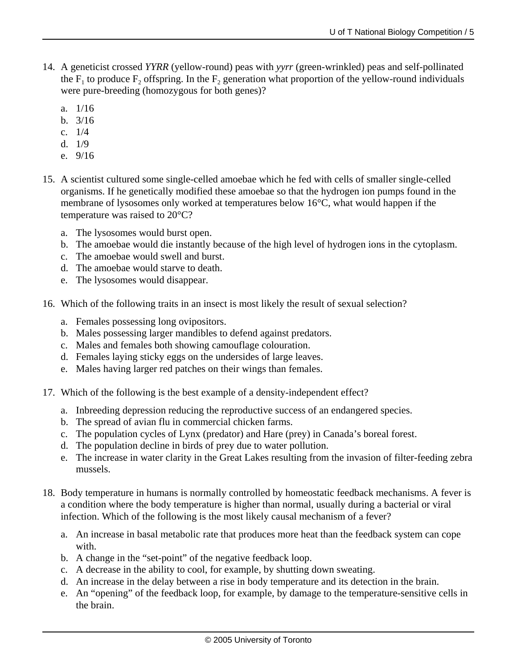- 14. A geneticist crossed *YYRR* (yellow-round) peas with *yyrr* (green-wrinkled) peas and self-pollinated the  $F_1$  to produce  $F_2$  offspring. In the  $F_2$  generation what proportion of the yellow-round individuals were pure-breeding (homozygous for both genes)?
	- a. 1/16
	- b. 3/16
	- c. 1/4
	- d. 1/9
	- e. 9/16
- 15. A scientist cultured some single-celled amoebae which he fed with cells of smaller single-celled organisms. If he genetically modified these amoebae so that the hydrogen ion pumps found in the membrane of lysosomes only worked at temperatures below 16°C, what would happen if the temperature was raised to 20°C?
	- a. The lysosomes would burst open.
	- b. The amoebae would die instantly because of the high level of hydrogen ions in the cytoplasm.
	- c. The amoebae would swell and burst.
	- d. The amoebae would starve to death.
	- e. The lysosomes would disappear.
- 16. Which of the following traits in an insect is most likely the result of sexual selection?
	- a. Females possessing long ovipositors.
	- b. Males possessing larger mandibles to defend against predators.
	- c. Males and females both showing camouflage colouration.
	- d. Females laying sticky eggs on the undersides of large leaves.
	- e. Males having larger red patches on their wings than females.
- 17. Which of the following is the best example of a density-independent effect?
	- a. Inbreeding depression reducing the reproductive success of an endangered species.
	- b. The spread of avian flu in commercial chicken farms.
	- c. The population cycles of Lynx (predator) and Hare (prey) in Canada's boreal forest.
	- d. The population decline in birds of prey due to water pollution.
	- e. The increase in water clarity in the Great Lakes resulting from the invasion of filter-feeding zebra mussels.
- 18. Body temperature in humans is normally controlled by homeostatic feedback mechanisms. A fever is a condition where the body temperature is higher than normal, usually during a bacterial or viral infection. Which of the following is the most likely causal mechanism of a fever?
	- a. An increase in basal metabolic rate that produces more heat than the feedback system can cope with.
	- b. A change in the "set-point" of the negative feedback loop.
	- c. A decrease in the ability to cool, for example, by shutting down sweating.
	- d. An increase in the delay between a rise in body temperature and its detection in the brain.
	- e. An "opening" of the feedback loop, for example, by damage to the temperature-sensitive cells in the brain.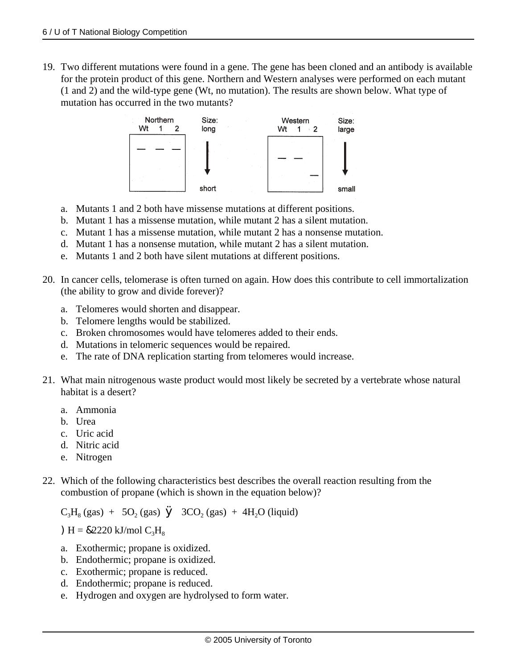19. Two different mutations were found in a gene. The gene has been cloned and an antibody is available for the protein product of this gene. Northern and Western analyses were performed on each mutant (1 and 2) and the wild-type gene (Wt, no mutation). The results are shown below. What type of mutation has occurred in the two mutants?



- a. Mutants 1 and 2 both have missense mutations at different positions.
- b. Mutant 1 has a missense mutation, while mutant 2 has a silent mutation.
- c. Mutant 1 has a missense mutation, while mutant 2 has a nonsense mutation.
- d. Mutant 1 has a nonsense mutation, while mutant 2 has a silent mutation.
- e. Mutants 1 and 2 both have silent mutations at different positions.
- 20. In cancer cells, telomerase is often turned on again. How does this contribute to cell immortalization (the ability to grow and divide forever)?
	- a. Telomeres would shorten and disappear.
	- b. Telomere lengths would be stabilized.
	- c. Broken chromosomes would have telomeres added to their ends.
	- d. Mutations in telomeric sequences would be repaired.
	- e. The rate of DNA replication starting from telomeres would increase.
- 21. What main nitrogenous waste product would most likely be secreted by a vertebrate whose natural habitat is a desert?
	- a. Ammonia
	- b. Urea
	- c. Uric acid
	- d. Nitric acid
	- e. Nitrogen
- 22. Which of the following characteristics best describes the overall reaction resulting from the combustion of propane (which is shown in the equation below)?

 $C_3H_8$  (gas) + 5O<sub>2</sub> (gas)  $\dot{y}$  3CO<sub>2</sub> (gas) + 4H<sub>2</sub>O (liquid)

 $H = 82220$  kJ/mol  $C_3H_8$ 

- a. Exothermic; propane is oxidized.
- b. Endothermic; propane is oxidized.
- c. Exothermic; propane is reduced.
- d. Endothermic; propane is reduced.
- e. Hydrogen and oxygen are hydrolysed to form water.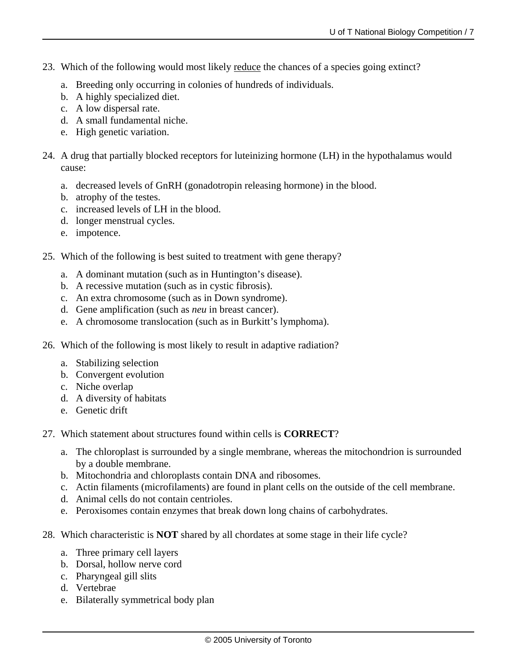- 23. Which of the following would most likely <u>reduce</u> the chances of a species going extinct?
	- a. Breeding only occurring in colonies of hundreds of individuals.
	- b. A highly specialized diet.
	- c. A low dispersal rate.
	- d. A small fundamental niche.
	- e. High genetic variation.
- 24. A drug that partially blocked receptors for luteinizing hormone (LH) in the hypothalamus would cause:
	- a. decreased levels of GnRH (gonadotropin releasing hormone) in the blood.
	- b. atrophy of the testes.
	- c. increased levels of LH in the blood.
	- d. longer menstrual cycles.
	- e. impotence.
- 25. Which of the following is best suited to treatment with gene therapy?
	- a. A dominant mutation (such as in Huntington's disease).
	- b. A recessive mutation (such as in cystic fibrosis).
	- c. An extra chromosome (such as in Down syndrome).
	- d. Gene amplification (such as *neu* in breast cancer).
	- e. A chromosome translocation (such as in Burkitt's lymphoma).
- 26. Which of the following is most likely to result in adaptive radiation?
	- a. Stabilizing selection
	- b. Convergent evolution
	- c. Niche overlap
	- d. A diversity of habitats
	- e. Genetic drift
- 27. Which statement about structures found within cells is **CORRECT**?
	- a. The chloroplast is surrounded by a single membrane, whereas the mitochondrion is surrounded by a double membrane.
	- b. Mitochondria and chloroplasts contain DNA and ribosomes.
	- c. Actin filaments (microfilaments) are found in plant cells on the outside of the cell membrane.
	- d. Animal cells do not contain centrioles.
	- e. Peroxisomes contain enzymes that break down long chains of carbohydrates.
- 28. Which characteristic is **NOT** shared by all chordates at some stage in their life cycle?
	- a. Three primary cell layers
	- b. Dorsal, hollow nerve cord
	- c. Pharyngeal gill slits
	- d. Vertebrae
	- e. Bilaterally symmetrical body plan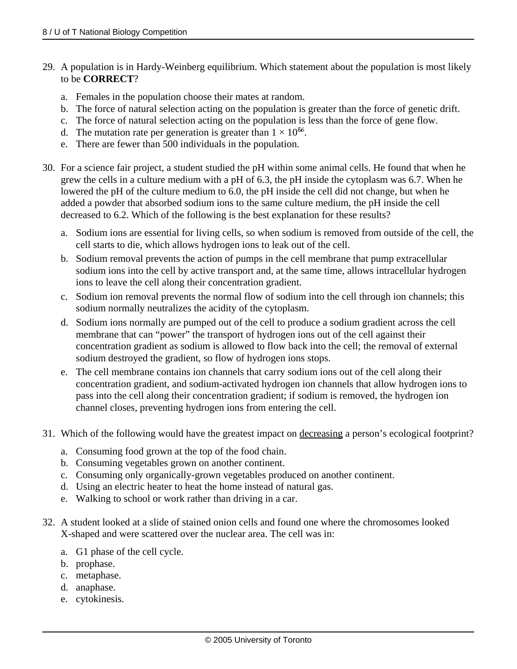- 29. A population is in Hardy-Weinberg equilibrium. Which statement about the population is most likely to be **CORRECT**?
	- a. Females in the population choose their mates at random.
	- b. The force of natural selection acting on the population is greater than the force of genetic drift.
	- c. The force of natural selection acting on the population is less than the force of gene flow.
	- d. The mutation rate per generation is greater than  $1 \times 10^{86}$ .
	- e. There are fewer than 500 individuals in the population.
- 30. For a science fair project, a student studied the pH within some animal cells. He found that when he grew the cells in a culture medium with a pH of 6.3, the pH inside the cytoplasm was 6.7. When he lowered the pH of the culture medium to 6.0, the pH inside the cell did not change, but when he added a powder that absorbed sodium ions to the same culture medium, the pH inside the cell decreased to 6.2. Which of the following is the best explanation for these results?
	- a. Sodium ions are essential for living cells, so when sodium is removed from outside of the cell, the cell starts to die, which allows hydrogen ions to leak out of the cell.
	- b. Sodium removal prevents the action of pumps in the cell membrane that pump extracellular sodium ions into the cell by active transport and, at the same time, allows intracellular hydrogen ions to leave the cell along their concentration gradient.
	- c. Sodium ion removal prevents the normal flow of sodium into the cell through ion channels; this sodium normally neutralizes the acidity of the cytoplasm.
	- d. Sodium ions normally are pumped out of the cell to produce a sodium gradient across the cell membrane that can "power" the transport of hydrogen ions out of the cell against their concentration gradient as sodium is allowed to flow back into the cell; the removal of external sodium destroyed the gradient, so flow of hydrogen ions stops.
	- e. The cell membrane contains ion channels that carry sodium ions out of the cell along their concentration gradient, and sodium-activated hydrogen ion channels that allow hydrogen ions to pass into the cell along their concentration gradient; if sodium is removed, the hydrogen ion channel closes, preventing hydrogen ions from entering the cell.
- 31. Which of the following would have the greatest impact on decreasing a person's ecological footprint?
	- a. Consuming food grown at the top of the food chain.
	- b. Consuming vegetables grown on another continent.
	- c. Consuming only organically-grown vegetables produced on another continent.
	- d. Using an electric heater to heat the home instead of natural gas.
	- e. Walking to school or work rather than driving in a car.
- 32. A student looked at a slide of stained onion cells and found one where the chromosomes looked X-shaped and were scattered over the nuclear area. The cell was in:
	- a. G1 phase of the cell cycle.
	- b. prophase.
	- c. metaphase.
	- d. anaphase.
	- e. cytokinesis.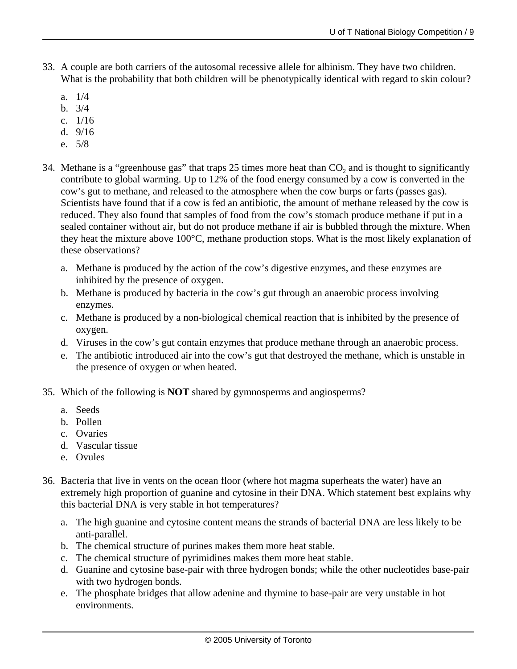- 33. A couple are both carriers of the autosomal recessive allele for albinism. They have two children. What is the probability that both children will be phenotypically identical with regard to skin colour?
	- a. 1/4
	- b. 3/4
	- c. 1/16
	- d. 9/16
	- e. 5/8
- 34. Methane is a "greenhouse gas" that traps 25 times more heat than  $CO<sub>2</sub>$  and is thought to significantly contribute to global warming. Up to 12% of the food energy consumed by a cow is converted in the cow's gut to methane, and released to the atmosphere when the cow burps or farts (passes gas). Scientists have found that if a cow is fed an antibiotic, the amount of methane released by the cow is reduced. They also found that samples of food from the cow's stomach produce methane if put in a sealed container without air, but do not produce methane if air is bubbled through the mixture. When they heat the mixture above 100°C, methane production stops. What is the most likely explanation of these observations?
	- a. Methane is produced by the action of the cow's digestive enzymes, and these enzymes are inhibited by the presence of oxygen.
	- b. Methane is produced by bacteria in the cow's gut through an anaerobic process involving enzymes.
	- c. Methane is produced by a non-biological chemical reaction that is inhibited by the presence of oxygen.
	- d. Viruses in the cow's gut contain enzymes that produce methane through an anaerobic process.
	- e. The antibiotic introduced air into the cow's gut that destroyed the methane, which is unstable in the presence of oxygen or when heated.
- 35. Which of the following is **NOT** shared by gymnosperms and angiosperms?
	- a. Seeds
	- b. Pollen
	- c. Ovaries
	- d. Vascular tissue
	- e. Ovules
- 36. Bacteria that live in vents on the ocean floor (where hot magma superheats the water) have an extremely high proportion of guanine and cytosine in their DNA. Which statement best explains why this bacterial DNA is very stable in hot temperatures?
	- a. The high guanine and cytosine content means the strands of bacterial DNA are less likely to be anti-parallel.
	- b. The chemical structure of purines makes them more heat stable.
	- c. The chemical structure of pyrimidines makes them more heat stable.
	- d. Guanine and cytosine base-pair with three hydrogen bonds; while the other nucleotides base-pair with two hydrogen bonds.
	- e. The phosphate bridges that allow adenine and thymine to base-pair are very unstable in hot environments.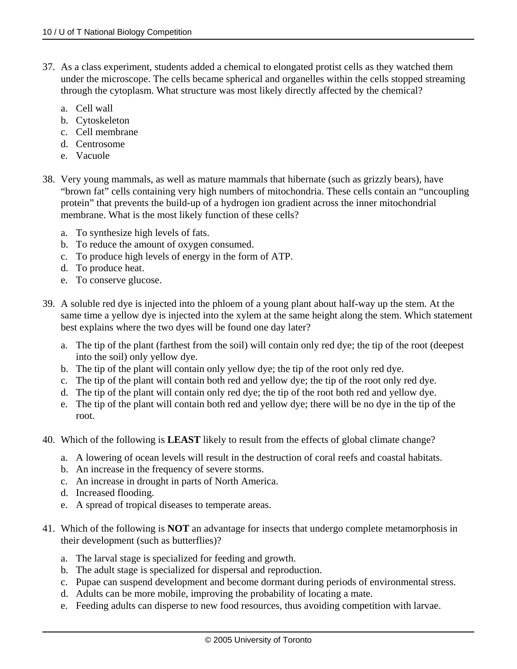- 37. As a class experiment, students added a chemical to elongated protist cells as they watched them under the microscope. The cells became spherical and organelles within the cells stopped streaming through the cytoplasm. What structure was most likely directly affected by the chemical?
	- a. Cell wall
	- b. Cytoskeleton
	- c. Cell membrane
	- d. Centrosome
	- e. Vacuole
- 38. Very young mammals, as well as mature mammals that hibernate (such as grizzly bears), have "brown fat" cells containing very high numbers of mitochondria. These cells contain an "uncoupling protein" that prevents the build-up of a hydrogen ion gradient across the inner mitochondrial membrane. What is the most likely function of these cells?
	- a. To synthesize high levels of fats.
	- b. To reduce the amount of oxygen consumed.
	- c. To produce high levels of energy in the form of ATP.
	- d. To produce heat.
	- e. To conserve glucose.
- 39. A soluble red dye is injected into the phloem of a young plant about half-way up the stem. At the same time a yellow dye is injected into the xylem at the same height along the stem. Which statement best explains where the two dyes will be found one day later?
	- a. The tip of the plant (farthest from the soil) will contain only red dye; the tip of the root (deepest into the soil) only yellow dye.
	- b. The tip of the plant will contain only yellow dye; the tip of the root only red dye.
	- c. The tip of the plant will contain both red and yellow dye; the tip of the root only red dye.
	- d. The tip of the plant will contain only red dye; the tip of the root both red and yellow dye.
	- e. The tip of the plant will contain both red and yellow dye; there will be no dye in the tip of the root.
- 40. Which of the following is **LEAST** likely to result from the effects of global climate change?
	- a. A lowering of ocean levels will result in the destruction of coral reefs and coastal habitats.
	- b. An increase in the frequency of severe storms.
	- c. An increase in drought in parts of North America.
	- d. Increased flooding.
	- e. A spread of tropical diseases to temperate areas.
- 41. Which of the following is **NOT** an advantage for insects that undergo complete metamorphosis in their development (such as butterflies)?
	- a. The larval stage is specialized for feeding and growth.
	- b. The adult stage is specialized for dispersal and reproduction.
	- c. Pupae can suspend development and become dormant during periods of environmental stress.
	- d. Adults can be more mobile, improving the probability of locating a mate.
	- e. Feeding adults can disperse to new food resources, thus avoiding competition with larvae.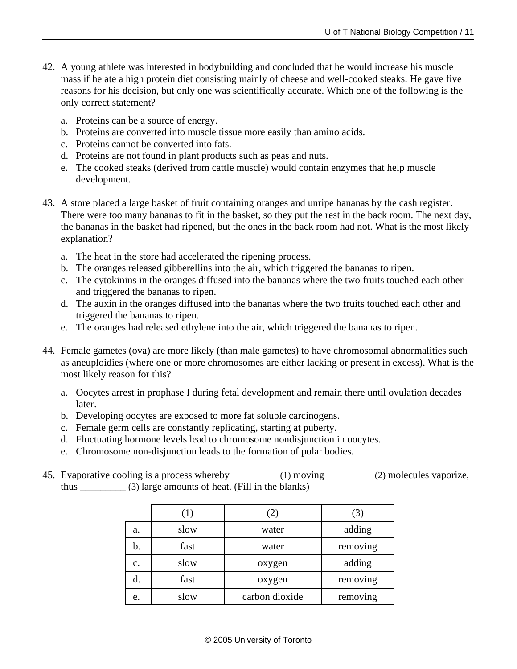- 42. A young athlete was interested in bodybuilding and concluded that he would increase his muscle mass if he ate a high protein diet consisting mainly of cheese and well-cooked steaks. He gave five reasons for his decision, but only one was scientifically accurate. Which one of the following is the only correct statement?
	- a. Proteins can be a source of energy.
	- b. Proteins are converted into muscle tissue more easily than amino acids.
	- c. Proteins cannot be converted into fats.
	- d. Proteins are not found in plant products such as peas and nuts.
	- e. The cooked steaks (derived from cattle muscle) would contain enzymes that help muscle development.
- 43. A store placed a large basket of fruit containing oranges and unripe bananas by the cash register. There were too many bananas to fit in the basket, so they put the rest in the back room. The next day, the bananas in the basket had ripened, but the ones in the back room had not. What is the most likely explanation?
	- a. The heat in the store had accelerated the ripening process.
	- b. The oranges released gibberellins into the air, which triggered the bananas to ripen.
	- c. The cytokinins in the oranges diffused into the bananas where the two fruits touched each other and triggered the bananas to ripen.
	- d. The auxin in the oranges diffused into the bananas where the two fruits touched each other and triggered the bananas to ripen.
	- e. The oranges had released ethylene into the air, which triggered the bananas to ripen.
- 44. Female gametes (ova) are more likely (than male gametes) to have chromosomal abnormalities such as aneuploidies (where one or more chromosomes are either lacking or present in excess). What is the most likely reason for this?
	- a. Oocytes arrest in prophase I during fetal development and remain there until ovulation decades later.
	- b. Developing oocytes are exposed to more fat soluble carcinogens.
	- c. Female germ cells are constantly replicating, starting at puberty.
	- d. Fluctuating hormone levels lead to chromosome nondisjunction in oocytes.
	- e. Chromosome non-disjunction leads to the formation of polar bodies.
- 45. Evaporative cooling is a process whereby \_\_\_\_\_\_\_\_\_ (1) moving \_\_\_\_\_\_\_\_ (2) molecules vaporize, thus \_\_\_\_\_\_\_\_\_ (3) large amounts of heat. (Fill in the blanks)

|    |      | (2)            | . J      |
|----|------|----------------|----------|
| a. | slow | water          | adding   |
| b. | fast | water          | removing |
| c. | slow | oxygen         | adding   |
| d. | fast | oxygen         | removing |
| e. | slow | carbon dioxide | removing |